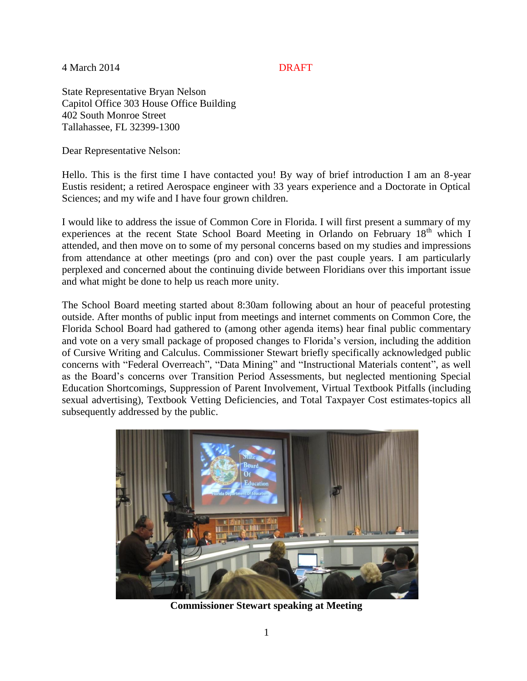4 March 2014 DRAFT

State Representative Bryan Nelson Capitol Office 303 House Office Building 402 South Monroe Street Tallahassee, FL 32399-1300

Dear Representative Nelson:

Hello. This is the first time I have contacted you! By way of brief introduction I am an 8-year Eustis resident; a retired Aerospace engineer with 33 years experience and a Doctorate in Optical Sciences; and my wife and I have four grown children.

I would like to address the issue of Common Core in Florida. I will first present a summary of my experiences at the recent State School Board Meeting in Orlando on February  $18<sup>th</sup>$  which I attended, and then move on to some of my personal concerns based on my studies and impressions from attendance at other meetings (pro and con) over the past couple years. I am particularly perplexed and concerned about the continuing divide between Floridians over this important issue and what might be done to help us reach more unity.

The School Board meeting started about 8:30am following about an hour of peaceful protesting outside. After months of public input from meetings and internet comments on Common Core, the Florida School Board had gathered to (among other agenda items) hear final public commentary and vote on a very small package of proposed changes to Florida's version, including the addition of Cursive Writing and Calculus. Commissioner Stewart briefly specifically acknowledged public concerns with "Federal Overreach", "Data Mining" and "Instructional Materials content", as well as the Board's concerns over Transition Period Assessments, but neglected mentioning Special Education Shortcomings, Suppression of Parent Involvement, Virtual Textbook Pitfalls (including sexual advertising), Textbook Vetting Deficiencies, and Total Taxpayer Cost estimates-topics all subsequently addressed by the public.



**Commissioner Stewart speaking at Meeting**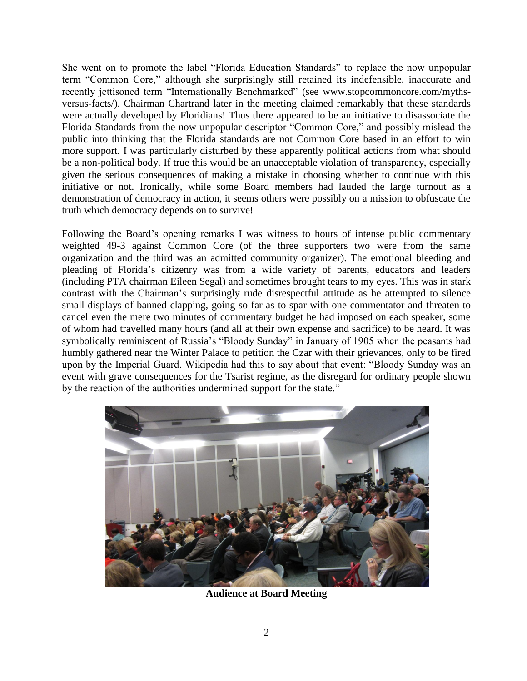She went on to promote the label "Florida Education Standards" to replace the now unpopular term "Common Core," although she surprisingly still retained its indefensible, inaccurate and recently jettisoned term "Internationally Benchmarked" (see www.stopcommoncore.com/mythsversus-facts/). Chairman Chartrand later in the meeting claimed remarkably that these standards were actually developed by Floridians! Thus there appeared to be an initiative to disassociate the Florida Standards from the now unpopular descriptor "Common Core," and possibly mislead the public into thinking that the Florida standards are not Common Core based in an effort to win more support. I was particularly disturbed by these apparently political actions from what should be a non-political body. If true this would be an unacceptable violation of transparency, especially given the serious consequences of making a mistake in choosing whether to continue with this initiative or not. Ironically, while some Board members had lauded the large turnout as a demonstration of democracy in action, it seems others were possibly on a mission to obfuscate the truth which democracy depends on to survive!

Following the Board's opening remarks I was witness to hours of intense public commentary weighted 49-3 against Common Core (of the three supporters two were from the same organization and the third was an admitted community organizer). The emotional bleeding and pleading of Florida's citizenry was from a wide variety of parents, educators and leaders (including PTA chairman Eileen Segal) and sometimes brought tears to my eyes. This was in stark contrast with the Chairman's surprisingly rude disrespectful attitude as he attempted to silence small displays of banned clapping, going so far as to spar with one commentator and threaten to cancel even the mere two minutes of commentary budget he had imposed on each speaker, some of whom had travelled many hours (and all at their own expense and sacrifice) to be heard. It was symbolically reminiscent of Russia's "Bloody Sunday" in January of 1905 when the peasants had humbly gathered near the Winter Palace to petition the Czar with their grievances, only to be fired upon by the Imperial Guard. Wikipedia had this to say about that event: "Bloody Sunday was an event with grave consequences for the Tsarist regime, as the disregard for ordinary people shown by the reaction of the authorities undermined support for the state."



**Audience at Board Meeting**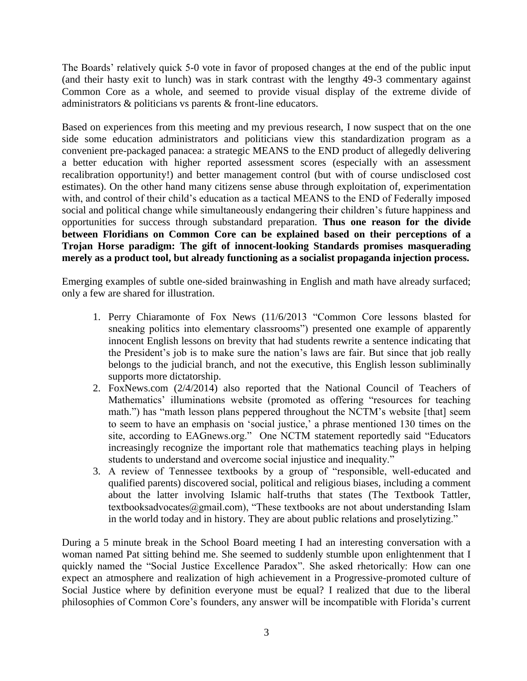The Boards' relatively quick 5-0 vote in favor of proposed changes at the end of the public input (and their hasty exit to lunch) was in stark contrast with the lengthy 49-3 commentary against Common Core as a whole, and seemed to provide visual display of the extreme divide of administrators & politicians vs parents & front-line educators.

Based on experiences from this meeting and my previous research, I now suspect that on the one side some education administrators and politicians view this standardization program as a convenient pre-packaged panacea: a strategic MEANS to the END product of allegedly delivering a better education with higher reported assessment scores (especially with an assessment recalibration opportunity!) and better management control (but with of course undisclosed cost estimates). On the other hand many citizens sense abuse through exploitation of, experimentation with, and control of their child's education as a tactical MEANS to the END of Federally imposed social and political change while simultaneously endangering their children's future happiness and opportunities for success through substandard preparation. **Thus one reason for the divide between Floridians on Common Core can be explained based on their perceptions of a Trojan Horse paradigm: The gift of innocent-looking Standards promises masquerading merely as a product tool, but already functioning as a socialist propaganda injection process.** 

Emerging examples of subtle one-sided brainwashing in English and math have already surfaced; only a few are shared for illustration.

- 1. Perry Chiaramonte of Fox News (11/6/2013 "Common Core lessons blasted for sneaking politics into elementary classrooms") presented one example of apparently innocent English lessons on brevity that had students rewrite a sentence indicating that the President's job is to make sure the nation's laws are fair. But since that job really belongs to the judicial branch, and not the executive, this English lesson subliminally supports more dictatorship.
- 2. FoxNews.com (2/4/2014) also reported that the National Council of Teachers of Mathematics' illuminations website (promoted as offering "resources for teaching math.") has "math lesson plans peppered throughout the NCTM's website [that] seem to seem to have an emphasis on 'social justice,' a phrase mentioned 130 times on the site, according to EAGnews.org." One NCTM statement reportedly said "Educators increasingly recognize the important role that mathematics teaching plays in helping students to understand and overcome social injustice and inequality."
- 3. A review of Tennessee textbooks by a group of "responsible, well-educated and qualified parents) discovered social, political and religious biases, including a comment about the latter involving Islamic half-truths that states (The Textbook Tattler, textbooksadvocates@gmail.com), "These textbooks are not about understanding Islam in the world today and in history. They are about public relations and proselytizing."

During a 5 minute break in the School Board meeting I had an interesting conversation with a woman named Pat sitting behind me. She seemed to suddenly stumble upon enlightenment that I quickly named the "Social Justice Excellence Paradox". She asked rhetorically: How can one expect an atmosphere and realization of high achievement in a Progressive-promoted culture of Social Justice where by definition everyone must be equal? I realized that due to the liberal philosophies of Common Core's founders, any answer will be incompatible with Florida's current